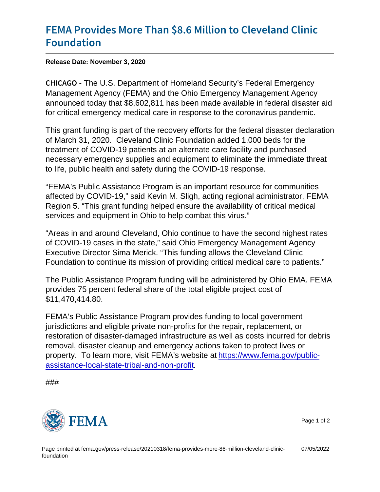## [FEMA Provides More Than \\$8.6 Mi](https://www.fema.gov/press-release/20210318/fema-provides-more-86-million-cleveland-clinic-foundation)llion to [Founda](https://www.fema.gov/press-release/20210318/fema-provides-more-86-million-cleveland-clinic-foundation)tion

Release Date: November 3, 2020

C H I C A Ghe U.S. Department of Homeland Security's Federal Emergency Management Agency (FEMA) and the Ohio Emergency Management Agency announced today that \$8,602,811 has been made available in federal disaster aid for critical emergency medical care in response to the coronavirus pandemic.

This grant funding is part of the recovery efforts for the federal disaster declaration of March 31, 2020. Cleveland Clinic Foundation added 1,000 beds for the treatment of COVID-19 patients at an alternate care facility and purchased necessary emergency supplies and equipment to eliminate the immediate threat to life, public health and safety during the COVID-19 response.

"FEMA's Public Assistance Program is an important resource for communities affected by COVID-19," said Kevin M. Sligh, acting regional administrator, FEMA Region 5. "This grant funding helped ensure the availability of critical medical services and equipment in Ohio to help combat this virus."

"Areas in and around Cleveland, Ohio continue to have the second highest rates of COVID-19 cases in the state," said Ohio Emergency Management Agency Executive Director Sima Merick. "This funding allows the Cleveland Clinic Foundation to continue its mission of providing critical medical care to patients."

The Public Assistance Program funding will be administered by Ohio EMA. FEMA provides 75 percent federal share of the total eligible project cost of \$11,470,414.80.

FEMA's Public Assistance Program provides funding to local government jurisdictions and eligible private non-profits for the repair, replacement, or restoration of disaster-damaged infrastructure as well as costs incurred for debris removal, disaster cleanup and emergency actions taken to protect lives or property. To learn more, visit FEMA's website at [https://www.fema.gov/public](https://u7061146.ct.sendgrid.net/ls/click?upn=4tNED-2FM8iDZJQyQ53jATUTOo7soObugTvvTkmELbPhS-2BDY0I-2FOHCAozXFcpsdf16bxGrVh-2Bp-2FTmsJK6Ul9ftYIdHBzLax-2FElFD1F6-2BoRB1Fr5AOM-2Fi-2BTdmaX1YNcrB-2Bc8Og1YbzV2mf7-2Fl-2FSj88-2FFrLMRdlbmy-2FRrsv8LCUicfUVAX9f02R-2FhR8G5wlZIp5ibiv1EATKKt8HwzomKP2LY4OF7Sr0ftpjHdVdn70GyzEw0flX-2Bbn-2FIS8XEcIeYG3psBiBTVF18pHIlruzfdqY0WHTGBhpeWRiw-2BHbCq-2BuH1h139k6RWVjV5YFl5bmbDvR-2Bf-2FisP6jxJH9hpMSQQKn3omZ1haMsAB-2BYcHudTOCJm7XynwoSao2F0mJ-2FLG-2BmRw0e1OGPf4G0GB1gMCwAeMOBNuOKswefdr9RXaFiRZRAsM56aS0T1pqBT038EmMRr0-2BPjQ9HlY8R-2BnIOceuH-2FzgwGoJ2ugo30f0X1dbfklgUXu8yquOVnmSaOF8oLNo0B8-2FTzHLFWJghvWdcZuFSd5hbDBm7K9cvXlD03C4hfrriQW9TL2OurKu-2FWbyOa5mXbNOq9rGbHc0Gx9QexoT7fYeGg-3D-3D7k1c_ikyrQM0swfJ33H1z8KNu3D7ObPd523An7e-2B4CWGkPn8GS3bpk786cCdFFmP-2B2QL8YDCzLeEJdaS4yrzVZP7ohPv0GYEkbMegnXZO3VX4dTV29rAwxk2WTd2n36paSp6kvimLZMjUkR12b-2FvQ6dvGcpIJVDwicipCfRakpGqJbUmS26SLSfOBmadNf5MKrTmfiBFHqdtC0VDVA-2FjC6xfaDPfa6h3nWklSeE0F0GfihNx7tRDJtfRS1K78fNy2F-2BQ7GX2cD7R4TKAG4fTNPSlORGR0utwLIiDAE6yXI1pyXfrnTDLyGvqZpf3ITE74rkpPmpmnFeripKVAVvN6zTPUagTLfohxjc2OWwkYbY8fWH8-3D)[assistance-local-state-tribal-and-non-profit.](https://u7061146.ct.sendgrid.net/ls/click?upn=4tNED-2FM8iDZJQyQ53jATUTOo7soObugTvvTkmELbPhS-2BDY0I-2FOHCAozXFcpsdf16bxGrVh-2Bp-2FTmsJK6Ul9ftYIdHBzLax-2FElFD1F6-2BoRB1Fr5AOM-2Fi-2BTdmaX1YNcrB-2Bc8Og1YbzV2mf7-2Fl-2FSj88-2FFrLMRdlbmy-2FRrsv8LCUicfUVAX9f02R-2FhR8G5wlZIp5ibiv1EATKKt8HwzomKP2LY4OF7Sr0ftpjHdVdn70GyzEw0flX-2Bbn-2FIS8XEcIeYG3psBiBTVF18pHIlruzfdqY0WHTGBhpeWRiw-2BHbCq-2BuH1h139k6RWVjV5YFl5bmbDvR-2Bf-2FisP6jxJH9hpMSQQKn3omZ1haMsAB-2BYcHudTOCJm7XynwoSao2F0mJ-2FLG-2BmRw0e1OGPf4G0GB1gMCwAeMOBNuOKswefdr9RXaFiRZRAsM56aS0T1pqBT038EmMRr0-2BPjQ9HlY8R-2BnIOceuH-2FzgwGoJ2ugo30f0X1dbfklgUXu8yquOVnmSaOF8oLNo0B8-2FTzHLFWJghvWdcZuFSd5hbDBm7K9cvXlD03C4hfrriQW9TL2OurKu-2FWbyOa5mXbNOq9rGbHc0Gx9QexoT7fYeGg-3D-3D7k1c_ikyrQM0swfJ33H1z8KNu3D7ObPd523An7e-2B4CWGkPn8GS3bpk786cCdFFmP-2B2QL8YDCzLeEJdaS4yrzVZP7ohPv0GYEkbMegnXZO3VX4dTV29rAwxk2WTd2n36paSp6kvimLZMjUkR12b-2FvQ6dvGcpIJVDwicipCfRakpGqJbUmS26SLSfOBmadNf5MKrTmfiBFHqdtC0VDVA-2FjC6xfaDPfa6h3nWklSeE0F0GfihNx7tRDJtfRS1K78fNy2F-2BQ7GX2cD7R4TKAG4fTNPSlORGR0utwLIiDAE6yXI1pyXfrnTDLyGvqZpf3ITE74rkpPmpmnFeripKVAVvN6zTPUagTLfohxjc2OWwkYbY8fWH8-3D)

###



Page 1 of 2